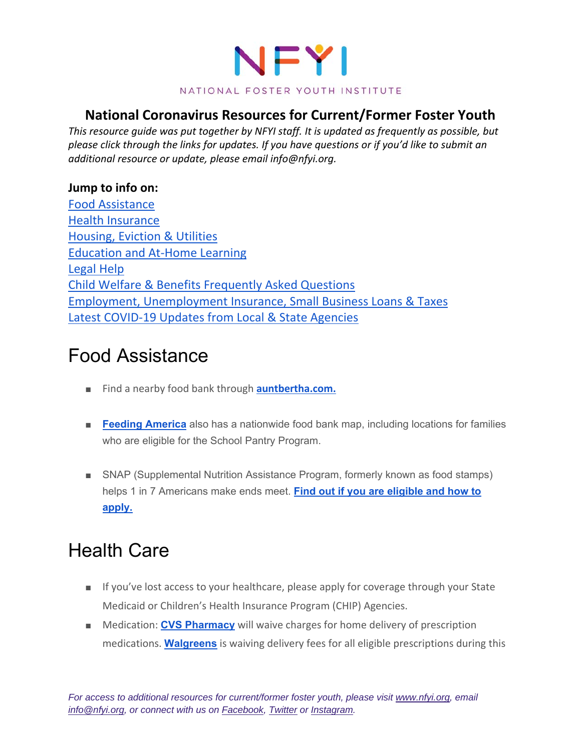

#### **National Coronavirus Resources for Current/Former Foster Youth**

*This resource guide was put together by NFYI staff. It is updated as frequently as possible, but please click through the links for updates. If you have questions or if you'd like to submit an additional resource or update, please email info@nfyi.org.*

#### **Jump to info on:**

Food Assistance Health Insurance Housing, Eviction & Utilities Education and At‐Home Learning Legal Help Child Welfare & Benefits Frequently Asked Questions Employment, Unemployment Insurance, Small Business Loans & Taxes Latest COVID‐19 Updates from Local & State Agencies

### Food Assistance

- Find a nearby food bank through **auntbertha.com.**
- **Feeding America** also has a nationwide food bank map, including locations for families who are eligible for the School Pantry Program.
- SNAP (Supplemental Nutrition Assistance Program, formerly known as food stamps) helps 1 in 7 Americans make ends meet. **Find out if you are eligible and how to apply.**

# Health Care

- If you've lost access to your healthcare, please apply for coverage through your State Medicaid or Children's Health Insurance Program (CHIP) Agencies.
- Medication: **CVS Pharmacy** will waive charges for home delivery of prescription medications. **Walgreens** is waiving delivery fees for all eligible prescriptions during this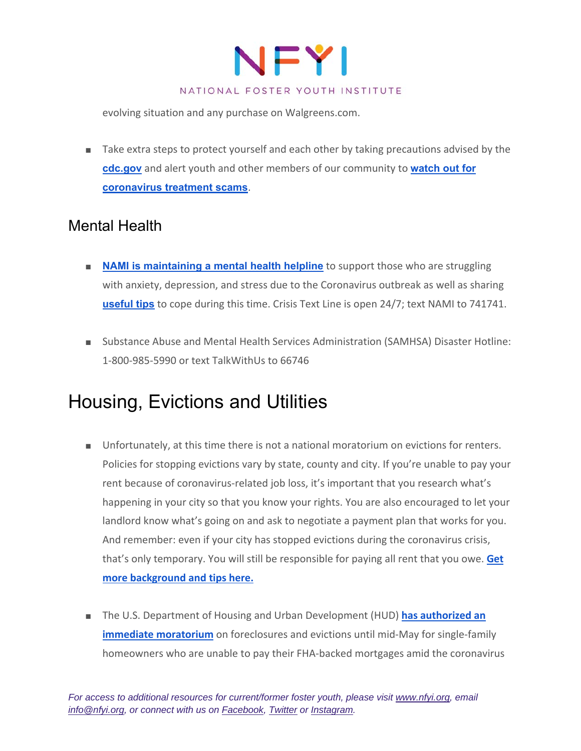

evolving situation and any purchase on Walgreens.com.

■ Take extra steps to protect yourself and each other by taking precautions advised by the **cdc.gov** and alert youth and other members of our community to **watch out for coronavirus treatment scams**.

### Mental Health

- **NAMI is maintaining a mental health helpline** to support those who are struggling with anxiety, depression, and stress due to the Coronavirus outbreak as well as sharing **useful tips** to cope during this time. Crisis Text Line is open 24/7; text NAMI to 741741.
- Substance Abuse and Mental Health Services Administration (SAMHSA) Disaster Hotline: 1‐800‐985‐5990 or text TalkWithUs to 66746

## Housing, Evictions and Utilities

- Unfortunately, at this time there is not a national moratorium on evictions for renters. Policies for stopping evictions vary by state, county and city. If you're unable to pay your rent because of coronavirus-related job loss, it's important that you research what's happening in your city so that you know your rights. You are also encouraged to let your landlord know what's going on and ask to negotiate a payment plan that works for you. And remember: even if your city has stopped evictions during the coronavirus crisis, that's only temporary. You will still be responsible for paying all rent that you owe. **Get more background and tips here.**
- The U.S. Department of Housing and Urban Development (HUD) **has authorized an immediate moratorium** on foreclosures and evictions until mid-May for single-family homeowners who are unable to pay their FHA‐backed mortgages amid the coronavirus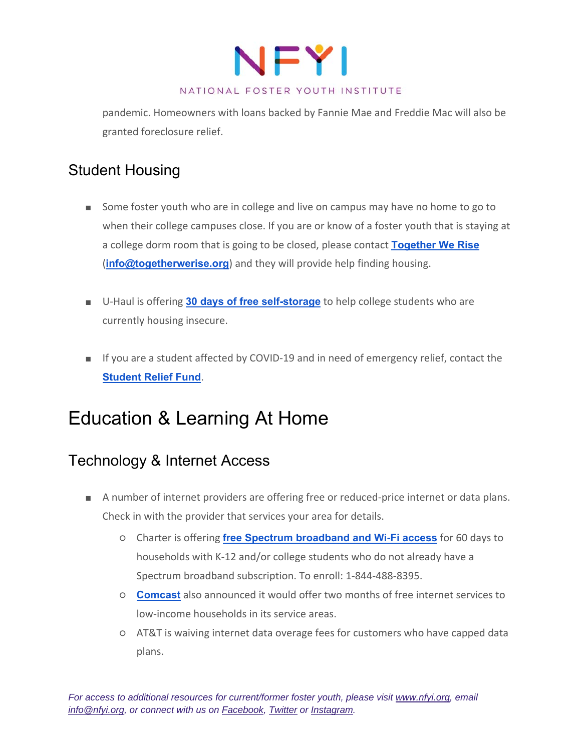

#### NATIONAL FOSTER YOUTH INSTITUTE

pandemic. Homeowners with loans backed by Fannie Mae and Freddie Mac will also be granted foreclosure relief.

### Student Housing

- Some foster youth who are in college and live on campus may have no home to go to when their college campuses close. If you are or know of a foster youth that is staying at a college dorm room that is going to be closed, please contact **Together We Rise** (**info@togetherwerise.org**) and they will provide help finding housing.
- U-Haul is offering 30 days of free self-storage to help college students who are currently housing insecure.
- If you are a student affected by COVID-19 and in need of emergency relief, contact the **Student Relief Fund**.

## Education & Learning At Home

### Technology & Internet Access

- A number of internet providers are offering free or reduced-price internet or data plans. Check in with the provider that services your area for details.
	- Charter is offering **free Spectrum broadband and Wi-Fi access** for 60 days to households with K‐12 and/or college students who do not already have a Spectrum broadband subscription. To enroll: 1‐844‐488‐8395.
	- **Comcast** also announced it would offer two months of free internet services to low‐income households in its service areas.
	- AT&T is waiving internet data overage fees for customers who have capped data plans.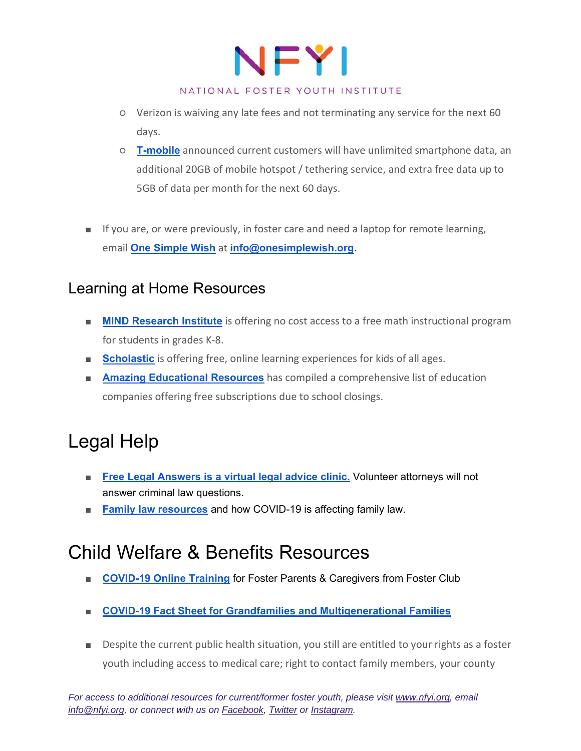

- Verizon is waiving any late fees and not terminating any service for the next 60 days.
- **T-mobile** announced current customers will have unlimited smartphone data, an additional 20GB of mobile hotspot / tethering service, and extra free data up to 5GB of data per month for the next 60 days.
- If you are, or were previously, in foster care and need a laptop for remote learning, email **One Simple Wish** at **info@onesimplewish.org**.

### Learning at Home Resources

- **MIND Research Institute** is offering no cost access to a free math instructional program for students in grades K‐8.
- **Bcholastic** is offering free, online learning experiences for kids of all ages.
- **Amazing Educational Resources** has compiled a comprehensive list of education companies offering free subscriptions due to school closings.

# Legal Help

- Free Legal Answers is a virtual legal advice clinic. Volunteer attorneys will not answer criminal law questions.
- **Family law resources** and how COVID-19 is affecting family law.

## Child Welfare & Benefits Resources

- **COVID-19 Online Training** for Foster Parents & Caregivers from Foster Club
- **COVID-19 Fact Sheet for Grandfamilies and Multigenerational Families**
- Despite the current public health situation, you still are entitled to your rights as a foster youth including access to medical care; right to contact family members, your county